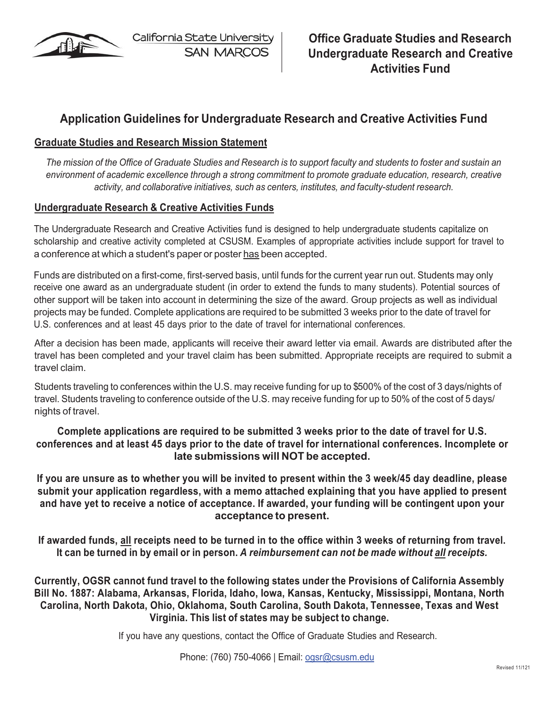

California State University **SAN MARCOS** 

## **Application Guidelines for Undergraduate Research and Creative Activities Fund**

## **Graduate Studies and Research Mission Statement**

The mission of the Office of Graduate Studies and Research is to support faculty and students to foster and sustain an *environment of academic excellence through a strong commitment to promote graduate education, research, creative activity, and collaborative initiatives, such as centers, institutes, and faculty-student research.*

### **Undergraduate Research & Creative Activities Funds**

The Undergraduate Research and Creative Activities fund is designed to help undergraduate students capitalize on scholarship and creative activity completed at CSUSM. Examples of appropriate activities include support for travel to a conference at which a student's paper or poster has been accepted.

Funds are distributed on a first-come, first-served basis, until funds for the current year run out. Students may only receive one award as an undergraduate student (in order to extend the funds to many students). Potential sources of other support will be taken into account in determining the size of the award. Group projects as well as individual projects may be funded. Complete applications are required to be submitted 3 weeks prior to the date of travel for U.S. conferences and at least 45 days prior to the date of travel for international conferences.

After a decision has been made, applicants will receive their award letter via email. Awards are distributed after the travel has been completed and your travel claim has been submitted. Appropriate receipts are required to submit a travel claim.

Students traveling to conferences within the U.S. may receive funding for up to \$500% of the cost of 3 days/nights of travel. Students traveling to conference outside of the U.S. may receive funding for up to 50% of the cost of 5 days/ nights of travel.

### **Complete applications are required to be submitted 3 weeks prior to the date of travel for U.S. conferences and at least 45 days prior to the date of travel for international conferences. Incomplete or late submissions will NOT be accepted.**

**If you are unsure as to whether you will be invited to present within the 3 week/45 day deadline, please submit your application regardless, with a memo attached explaining that you have applied to present and have yet to receive a notice of acceptance. If awarded, your funding will be contingent upon your acceptance to present.**

**If awarded funds, all receipts need to be turned in to the office within 3 weeks of returning from travel.** It can be turned in by email or in person. A reimbursement can not be made without all receipts.

**Currently, OGSR cannot fund travel to the following states under the Provisions of California Assembly Bill No. 1887: Alabama, Arkansas, Florida, Idaho, Iowa, Kansas, Kentucky, Mississippi, Montana, North Carolina, North Dakota, Ohio, Oklahoma, South Carolina, South Dakota, Tennessee, Texas and West Virginia. This list of states may be subject to change.**

If you have any questions, contact the Office of Graduate Studies and Research.